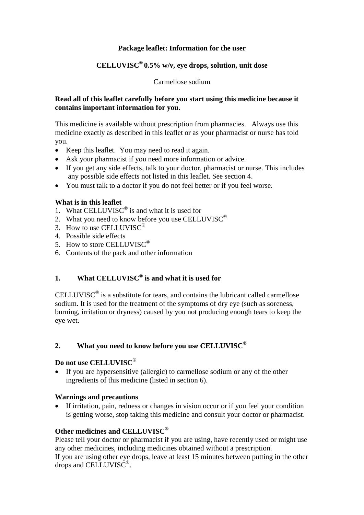## **Package leaflet: Information for the user**

# **CELLUVISC® 0.5% w/v, eye drops, solution, unit dose**

Carmellose sodium

#### **Read all of this leaflet carefully before you start using this medicine because it contains important information for you.**

This medicine is available without prescription from pharmacies. Always use this medicine exactly as described in this leaflet or as your pharmacist or nurse has told you.

- Keep this leaflet. You may need to read it again.
- Ask your pharmacist if you need more information or advice.
- If you get any side effects, talk to your doctor, pharmacist or nurse. This includes any possible side effects not listed in this leaflet. See section 4.
- You must talk to a doctor if you do not feel better or if you feel worse.

#### **What is in this leaflet**

- 1. What CELLUVISC<sup>®</sup> is and what it is used for
- 2. What you need to know before you use CELLUVISC<sup>®</sup>
- 3. How to use CELLUVISC®
- 4. Possible side effects
- 5. How to store CELLUVISC<sup>®</sup>
- 6. Contents of the pack and other information

# **1. What CELLUVISC® is and what it is used for**

CELLUVISC<sup>®</sup> is a substitute for tears, and contains the lubricant called carmellose sodium. It is used for the treatment of the symptoms of dry eye (such as soreness, burning, irritation or dryness) caused by you not producing enough tears to keep the eye wet.

## **2. What you need to know before you use CELLUVISC®**

# **Do not use CELLUVISC®**

 If you are hypersensitive (allergic) to carmellose sodium or any of the other ingredients of this medicine (listed in section 6).

## **Warnings and precautions**

 If irritation, pain, redness or changes in vision occur or if you feel your condition is getting worse, stop taking this medicine and consult your doctor or pharmacist.

## **Other medicines and CELLUVISC®**

Please tell your doctor or pharmacist if you are using, have recently used or might use any other medicines, including medicines obtained without a prescription.

If you are using other eye drops, leave at least 15 minutes between putting in the other drops and CELLUVISC<sup>®</sup>.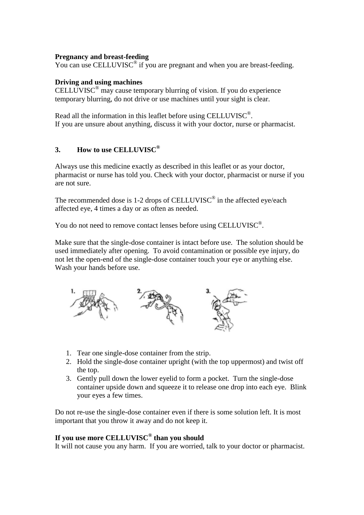#### **Pregnancy and breast-feeding**

You can use CELLUVISC<sup>®</sup> if you are pregnant and when you are breast-feeding.

#### **Driving and using machines**

CELLUVISC<sup>®</sup> may cause temporary blurring of vision. If you do experience temporary blurring, do not drive or use machines until your sight is clear.

Read all the information in this leaflet before using CELLUVISC®. If you are unsure about anything, discuss it with your doctor, nurse or pharmacist.

## **3. How to use CELLUVISC®**

Always use this medicine exactly as described in this leaflet or as your doctor, pharmacist or nurse has told you. Check with your doctor, pharmacist or nurse if you are not sure.

The recommended dose is 1-2 drops of CELLUVISC<sup>®</sup> in the affected eye/each affected eye, 4 times a day or as often as needed.

You do not need to remove contact lenses before using CELLUVISC®.

Make sure that the single-dose container is intact before use. The solution should be used immediately after opening. To avoid contamination or possible eye injury, do not let the open-end of the single-dose container touch your eye or anything else. Wash your hands before use.



- 1. Tear one single-dose container from the strip.
- 2. Hold the single-dose container upright (with the top uppermost) and twist off the top.
- 3. Gently pull down the lower eyelid to form a pocket. Turn the single-dose container upside down and squeeze it to release one drop into each eye. Blink your eyes a few times.

Do not re-use the single-dose container even if there is some solution left. It is most important that you throw it away and do not keep it.

# **If you use more CELLUVISC® than you should**

It will not cause you any harm. If you are worried, talk to your doctor or pharmacist.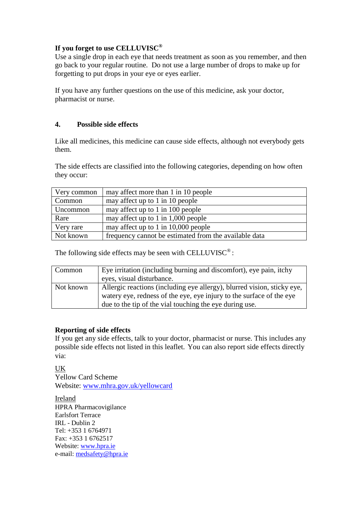# **If you forget to use CELLUVISC®**

Use a single drop in each eye that needs treatment as soon as you remember, and then go back to your regular routine. Do not use a large number of drops to make up for forgetting to put drops in your eye or eyes earlier.

If you have any further questions on the use of this medicine, ask your doctor, pharmacist or nurse.

# **4. Possible side effects**

Like all medicines, this medicine can cause side effects, although not everybody gets them.

The side effects are classified into the following categories, depending on how often they occur:

| Very common | may affect more than 1 in 10 people                   |
|-------------|-------------------------------------------------------|
| Common      | may affect up to 1 in 10 people                       |
| Uncommon    | may affect up to 1 in 100 people                      |
| Rare        | may affect up to 1 in $1,000$ people                  |
| Very rare   | may affect up to 1 in 10,000 people                   |
| Not known   | frequency cannot be estimated from the available data |

The following side effects may be seen with CELLUVISC<sup>®</sup>:

| Common    | Eye irritation (including burning and discomfort), eye pain, itchy<br>eyes, visual disturbance.                                                                                                            |
|-----------|------------------------------------------------------------------------------------------------------------------------------------------------------------------------------------------------------------|
| Not known | Allergic reactions (including eye allergy), blurred vision, sticky eye,<br>watery eye, redness of the eye, eye injury to the surface of the eye<br>due to the tip of the vial touching the eye during use. |

## **Reporting of side effects**

If you get any side effects, talk to your doctor, pharmacist or nurse. This includes any possible side effects not listed in this leaflet. You can also report side effects directly via:

UK

Yellow Card Scheme Website: [www.mhra.gov.uk/yellowcard](http://www.mhra.gov.uk/yellowcard)

Ireland HPRA Pharmacovigilance Earlsfort Terrace IRL - Dublin 2 Tel: +353 1 6764971 Fax: +353 1 6762517 Website: [www.hpra.ie](http://www.hpra.ie/) e-mail: [medsafety@hpra.ie](mailto:medsafety@hpra.ie)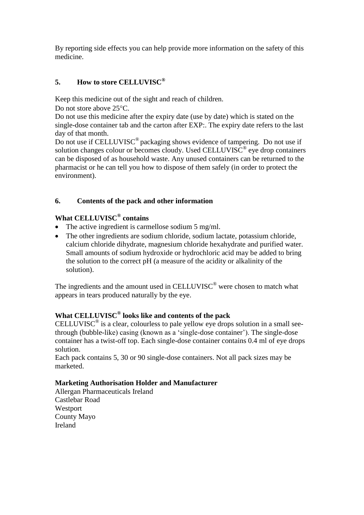By reporting side effects you can help provide more information on the safety of this medicine.

# **5. How to store CELLUVISC®**

Keep this medicine out of the sight and reach of children.

Do not store above  $25^{\circ}$ C.

Do not use this medicine after the expiry date (use by date) which is stated on the single-dose container tab and the carton after EXP:. The expiry date refers to the last day of that month.

Do not use if CELLUVISC<sup>®</sup> packaging shows evidence of tampering. Do not use if solution changes colour or becomes cloudy. Used CELLUVISC<sup>®</sup> eye drop containers can be disposed of as household waste. Any unused containers can be returned to the pharmacist or he can tell you how to dispose of them safely (in order to protect the environment).

# **6. Contents of the pack and other information**

# **What CELLUVISC® contains**

- The active ingredient is carmellose sodium 5 mg/ml.
- The other ingredients are sodium chloride, sodium lactate, potassium chloride, calcium chloride dihydrate, magnesium chloride hexahydrate and purified water. Small amounts of sodium hydroxide or hydrochloric acid may be added to bring the solution to the correct pH (a measure of the acidity or alkalinity of the solution).

The ingredients and the amount used in CELLUVISC<sup>®</sup> were chosen to match what appears in tears produced naturally by the eye.

# **What CELLUVISC® looks like and contents of the pack**

CELLUVISC<sup>®</sup> is a clear, colourless to pale yellow eye drops solution in a small seethrough (bubble-like) casing (known as a 'single-dose container'). The single-dose container has a twist-off top. Each single-dose container contains 0.4 ml of eye drops solution.

Each pack contains 5, 30 or 90 single-dose containers. Not all pack sizes may be marketed.

## **Marketing Authorisation Holder and Manufacturer**

Allergan Pharmaceuticals Ireland Castlebar Road Westport County Mayo Ireland